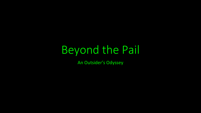# Beyond the Pail

An Outsider's Odyssey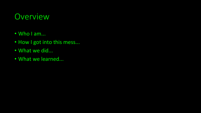## Overview

- Who I am...
- How I got into this mess...
- What we did...
- What we learned...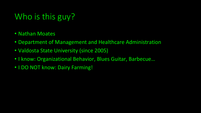# Who is this guy?

- Nathan Moates
- Department of Management and Healthcare Administration
- Valdosta State University (since 2005)
- I know: Organizational Behavior, Blues Guitar, Barbecue…
- I DO NOT know: Dairy Farming!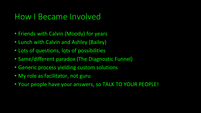#### How I Became Involved

- Friends with Calvin (Moody) for years
- Lunch with Calvin and Ashley (Bailey)
- Lots of questions, lots of possibilities
- Same/different paradox (The Diagnostic Funnel)
- Generic process yielding custom solutions
- My role as facilitator, not guru
- Your people have your answers, so TALK TO YOUR PEOPLE!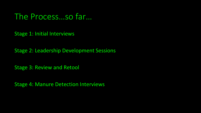The Process…so far…

Stage 1: Initial Interviews

Stage 2: Leadership Development Sessions

Stage 3: Review and Retool

Stage 4: Manure Detection Interviews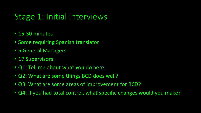# Stage 1: Initial Interviews

- 15-30 minutes
- Some requiring Spanish translator
- 5 General Managers
- 17 Supervisors
- Q1: Tell me about what you do here.
- Q2: What are some things BCD does well?
- Q3: What are some areas of improvement for BCD?
- Q4: If you had total control, what specific changes would you make?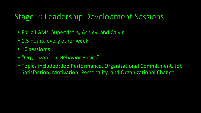#### Stage 2: Leadership Development Sessions

- Fpr all GMs, Supervisors, Ashley, and Calvin
- 1.5 hours, every other week
- 10 sessioms
- "Organizational Behavior Basics"
- Topics included: Job Performance, Organizational Commitment, Job Satisfaction, Motivation, Personality, and Organizational Change.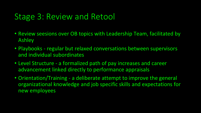### Stage 3: Review and Retool

- Review seesions over OB topics with Leadership Team, facilitated by Ashley
- Playbooks regular but relaxed conversations between supervisors and individual subordinates
- Level Structure a formalized path of pay increases and career advancement linked directly to performance appraisals
- Orientation/Training a deliberate attempt to improve the general organizational knowledge and job specific skills and expectations for new employees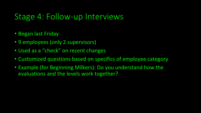#### Stage 4: Follow-up Interviews

- Began last Friday
- 9 employees (only 2 supervisors)
- Used as a "check" on recent changes
- Customized questions based on specifics of employee category
- Example (for Beginning Milkers): Do you understand how the evaluations and the levels work together?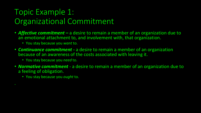# Topic Example 1: Organizational Commitment

- *Affective commitment* **–** a desire to remain a member of an organization due to an emotional attachment to, and involvement with, that organization.
	- You stay because you *want* to.
- *Continuance commitment* **-** a desire to remain a member of an organization because of an awareness of the costs associated with leaving it.
	- You stay because you *need* to.
- *Normative commitment* a desire to remain a member of an organization due to a feeling of obligation.
	- You stay because you *ought* to.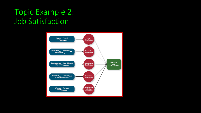## Topic Example 2: Job Satisfaction

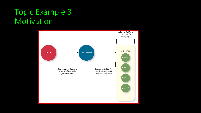## Topic Example 3: Motivation